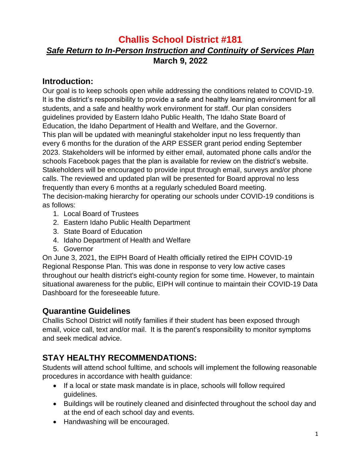# **Challis School District #181** *Safe Return to In-Person Instruction and Continuity of Services Plan* **March 9, 2022**

### **Introduction:**

Our goal is to keep schools open while addressing the conditions related to COVID-19. It is the district's responsibility to provide a safe and healthy learning environment for all students, and a safe and healthy work environment for staff. Our plan considers guidelines provided by Eastern Idaho Public Health, The Idaho State Board of Education, the Idaho Department of Health and Welfare, and the Governor. This plan will be updated with meaningful stakeholder input no less frequently than every 6 months for the duration of the ARP ESSER grant period ending September 2023. Stakeholders will be informed by either email, automated phone calls and/or the schools Facebook pages that the plan is available for review on the district's website. Stakeholders will be encouraged to provide input through email, surveys and/or phone calls. The reviewed and updated plan will be presented for Board approval no less frequently than every 6 months at a regularly scheduled Board meeting.

The decision-making hierarchy for operating our schools under COVID-19 conditions is as follows:

- 1. Local Board of Trustees
- 2. Eastern Idaho Public Health Department
- 3. State Board of Education
- 4. Idaho Department of Health and Welfare
- 5. Governor

On June 3, 2021, the EIPH Board of Health officially retired the EIPH COVID-19 Regional Response Plan. This was done in response to very low active cases throughout our health district's eight-county region for some time. However, to maintain situational awareness for the public, EIPH will continue to maintain their [COVID-19 Data](https://eiph.idaho.gov/Home/Hot%20Topics/Coronavirus/COVID_DataDashboard.html)  [Dashboard](https://eiph.idaho.gov/Home/Hot%20Topics/Coronavirus/COVID_DataDashboard.html) for the foreseeable future.

# **Quarantine Guidelines**

Challis School District will notify families if their student has been exposed through email, voice call, text and/or mail. It is the parent's responsibility to monitor symptoms and seek medical advice.

# **STAY HEALTHY RECOMMENDATIONS:**

Students will attend school fulltime, and schools will implement the following reasonable procedures in accordance with health guidance:

- If a local or state mask mandate is in place, schools will follow required guidelines.
- Buildings will be routinely cleaned and disinfected throughout the school day and at the end of each school day and events.
- Handwashing will be encouraged.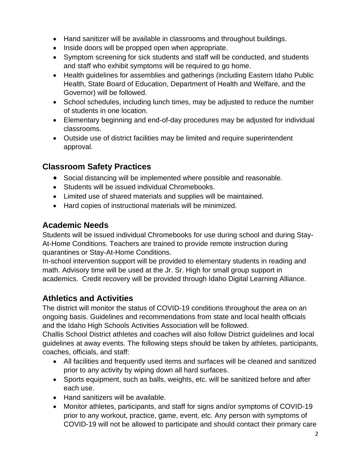- Hand sanitizer will be available in classrooms and throughout buildings.
- Inside doors will be propped open when appropriate.
- Symptom screening for sick students and staff will be conducted, and students and staff who exhibit symptoms will be required to go home.
- Health guidelines for assemblies and gatherings (including Eastern Idaho Public Health, State Board of Education, Department of Health and Welfare, and the Governor) will be followed.
- School schedules, including lunch times, may be adjusted to reduce the number of students in one location.
- Elementary beginning and end-of-day procedures may be adjusted for individual classrooms.
- Outside use of district facilities may be limited and require superintendent approval.

### **Classroom Safety Practices**

- Social distancing will be implemented where possible and reasonable.
- Students will be issued individual Chromebooks.
- Limited use of shared materials and supplies will be maintained.
- Hard copies of instructional materials will be minimized.

#### **Academic Needs**

Students will be issued individual Chromebooks for use during school and during Stay-At-Home Conditions. Teachers are trained to provide remote instruction during quarantines or Stay-At-Home Conditions.

In-school intervention support will be provided to elementary students in reading and math. Advisory time will be used at the Jr. Sr. High for small group support in academics. Credit recovery will be provided through Idaho Digital Learning Alliance.

# **Athletics and Activities**

The district will monitor the status of COVID-19 conditions throughout the area on an ongoing basis. Guidelines and recommendations from state and local health officials and the Idaho High Schools Activities Association will be followed.

Challis School District athletes and coaches will also follow District guidelines and local guidelines at away events. The following steps should be taken by athletes, participants, coaches, officials, and staff:

- All facilities and frequently used items and surfaces will be cleaned and sanitized prior to any activity by wiping down all hard surfaces.
- Sports equipment, such as balls, weights, etc. will be sanitized before and after each use.
- Hand sanitizers will be available.
- Monitor athletes, participants, and staff for signs and/or symptoms of COVID-19 prior to any workout, practice, game, event, etc. Any person with symptoms of COVID-19 will not be allowed to participate and should contact their primary care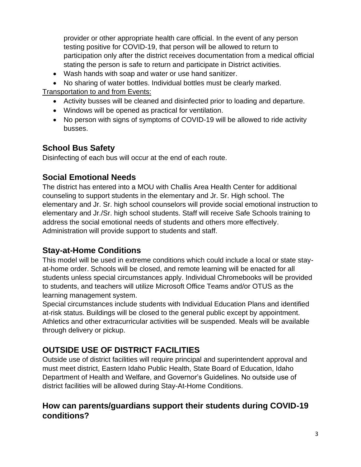provider or other appropriate health care official. In the event of any person testing positive for COVID-19, that person will be allowed to return to participation only after the district receives documentation from a medical official stating the person is safe to return and participate in District activities.

- Wash hands with soap and water or use hand sanitizer.
- No sharing of water bottles. Individual bottles must be clearly marked.

Transportation to and from Events:

- Activity busses will be cleaned and disinfected prior to loading and departure.
- Windows will be opened as practical for ventilation.
- No person with signs of symptoms of COVID-19 will be allowed to ride activity busses.

### **School Bus Safety**

Disinfecting of each bus will occur at the end of each route.

### **Social Emotional Needs**

The district has entered into a MOU with Challis Area Health Center for additional counseling to support students in the elementary and Jr. Sr. High school. The elementary and Jr. Sr. high school counselors will provide social emotional instruction to elementary and Jr./Sr. high school students. Staff will receive Safe Schools training to address the social emotional needs of students and others more effectively. Administration will provide support to students and staff.

# **Stay-at-Home Conditions**

This model will be used in extreme conditions which could include a local or state stayat-home order. Schools will be closed, and remote learning will be enacted for all students unless special circumstances apply. Individual Chromebooks will be provided to students, and teachers will utilize Microsoft Office Teams and/or OTUS as the learning management system.

Special circumstances include students with Individual Education Plans and identified at-risk status. Buildings will be closed to the general public except by appointment. Athletics and other extracurricular activities will be suspended. Meals will be available through delivery or pickup.

# **OUTSIDE USE OF DISTRICT FACILITIES**

Outside use of district facilities will require principal and superintendent approval and must meet district, Eastern Idaho Public Health, State Board of Education, Idaho Department of Health and Welfare, and Governor's Guidelines. No outside use of district facilities will be allowed during Stay-At-Home Conditions.

# **How can parents/guardians support their students during COVID-19 conditions?**